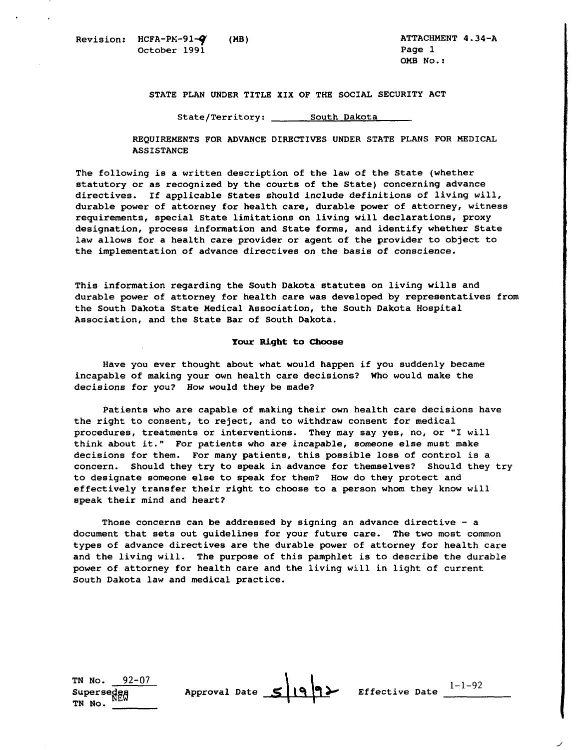**STATE PLAN UNDER TITLE XIX OF THE SOCIAL SECURITY ACT** 

 ${\tt State/Territory:} \ \_\_\_\_ \}$ 

**REQUIREMENTS FOR ADVANCE DIRECTIVES UNDER STATE PLANS FOR MEDICAL ASSISTANCE** 

**The following is a written description of the law of the State (whether statutory or as recognized by the courts of the State) concerning advance directives. If applicable States should include definitionsof living will,**  durable power of attorney for health care, durable power of attorney, witness **requirements, special Statelimitations on living will declarations, proxy designation, process information and State forms, and identify whether State**  law allows for a health care provider or agent of the provider to object to **the implementation of advance directives on the basisof conscience.** 

**This information regarding the South Dakota statutes on living wills and durable power of attorney for health care was developedby representatives from**  the South Dakota State Medical Association, the South Dakota Hospital **Association, and the State Bar of South Dakota.** 

## **Your Right to Choose**

Have you ever thought about what would happen if you suddenly became **incapable of making your own health care decisions? Who would make the decisions for you? How would they be made?** 

**Patients who are capable of making their own health care decisions have the right to consent, to reject, and to withdrawconsent for medical procedures, treatments or interventions. They may say yes, no, or "I will think about it." For patients who are incapable, someone elsemust make decisions for them. For many patients, this possible lossof control is a concern. Should they try to speak in advance for themselves? Should they try to designate someone elseto speak for them? How do they protect and**  effectively transfer their right to choose to a person whom they know will speak their mind and heart?

**Those concerns canbe addressed by signing an advance directive**- **<sup>a</sup> document that setsout guidelines for your future care. The twomost common**  types of advance directives are the durable power of attorney for health care **and the living will. The purpose of this pamphlet is to describe the durable power of attorney for health care and the living will in light of current South Dakota law and medical practice.** 

TN No.  $92-07$ **Supersedes Approval <br>TN No. <u>\_\_\_\_\_</u>\_\_\_\_**  $\frac{1}{\sqrt{1-\frac{1}{n}}}$  Approval Date  $\frac{1}{\sqrt{1-\frac{1}{n}}}$  **Defective Date**  $\frac{1}{\sqrt{1-\frac{1}{n}}}$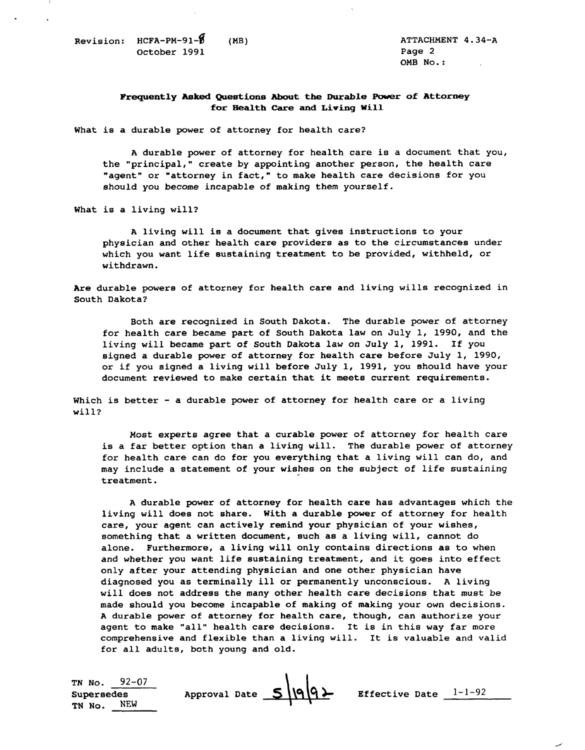**Revision: HCFA-PM-91-fl (MB) ATTACHMENT 4.34-A October 1991** 

**OMB No.** :

## **Frequently Asked Questions About the Durable Power of Attorney for Health Care and Living Will**

**What is a durablepower of attorney for health care?** 

A durable power of attorney for health care is a document that you, the "principal," create by appointing another person, the health care **"agent" or "attorney in fact,"to make health care decisions for you**  should you become incapable of making them yourself.

**What is a living will?** 

**A living will is adocument that gives instructionsto your physician and other health care providers as to the circumstancesunder**  which you want life sustaining treatment to be provided, withheld, or **withdrawn.** 

Are durable powers of attorney for health care and living wills recognized in **South Dakota?** 

Both are recognized in South Dakota. The durable power of attorney for health care became part of South Dakota law on July 1, 1990, and the **living will became part of South Dakota law on July1, 1991. If you**  signed a durable power of attorney for health care before July 1, 1990, **or if you signed a living will before July 1, 1991, you should have your document reviewed to make certain that it meets current requirements.** 

Which is better - a durable power of attorney for health care or a living **will?** 

for health care can do for you everything that a living will can do, and Most experts agree that a curable power of attorney for health care is a far better option than a living will. The durable power of attorney **may include astatement of your wishes on thesubject of life sustaining treatment.** 

A durable power of attorney for health care has advantages which the living will does not share. With a durable power of attorney for health care, your agent can actively remind your physician of your wishes, **something that a written document, such as a living will, cannot do alone. Furthermore, a living will only contains directionsas to when and whether you want life sustaining treatment, and it goes into effect only after yourattending physician andone other physician have diagnosed you as terminally ill or permanently unconscious. A living**  will does not address the many other health care decisions that must be **made should you become incapable of making of making your own decisions.**  A durable power of attorney for health care, though, can authorize your **agent to make "all" health care decisions. It is in this way far more comprehensive and flexible than a living will. It is valuable and valid for all adults, both young and old.** 

| TN No. $92-07$<br>Supersedes | Approval Date $S \cap Q$ | <b>Effective Date</b> $l-l-92$ |  |
|------------------------------|--------------------------|--------------------------------|--|
| NEW<br>TN No.                |                          |                                |  |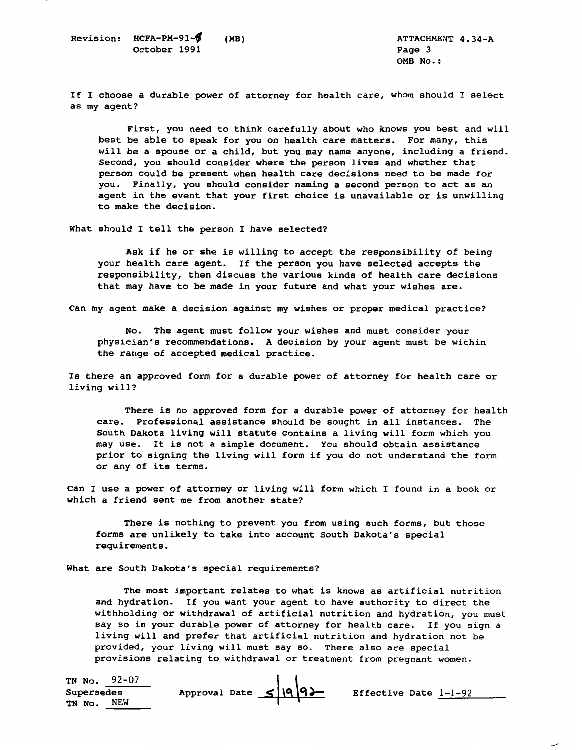**Revision: HCFA-PM-91-<sup>6</sup>** (MB) <br>
October 1991 **Page 3 October 1991** 

**OMB No.** :

**If I choose a durable power of attorney for health care, whom should I select as my agent?** 

First, you need to think carefully about who knows you best and will **best be able to speak for you on health care matters. For many, this**  will be a spouse or a child, but you may name anyone, including a friend. **Second, you should consider where the person livesand whether that**  person could be present when health care decisions need to be made for **you. Finally, you should consider naminga second personto act as an**  agent in the event that your first choice is unavailable or is unwilling to make the decision.

What should I tell the person I have selected?

Ask if he or she is willing to accept the responsibility of being your health care agent. If the person you have selected accepts the **responsibility, then discussthe various kinds of health care decisions**  that may have to be made in your future and what your wishes are.

Can my agent make a decision against my wishes or proper medical practice?

No. The agent must follow your wishes and must consider your **physician's recommendations. A decision by your agent must be within**  the range of accepted medical practice.

Is there an approved form for a durable power of attorney for health care or **living will?** 

There is no approved form for a durable power of attorney for health **care. Professional assistance should be sought in all instances. The South Dakotaliving will statute contains aliving will form which you may use. It is not a simple document. You should obtain assistance prior to signing the living will form if you do not understand the form or any of its terms.** 

Can I use a power of attorney or living will form which I found in a book or which a friend sent me from another state?

**There is nothing to prevent you fromusing such forms, but those**  forms are unlikely to take into account South Dakota's special **requirements.** 

What are South Dakota's special requirements?

**The most important relates to what is knowsas artificial nutrition**  and hydration. If you want your agent to have authority to direct the **withholding or withdrawal of artificialnutrition and hydration, you must say so in your durable power of attorney for health care. If you sign a**  living will and prefer that artificial nutrition and hydration not be **provided, your living will must sayso. There also are special**  provisions relating to withdrawal or treatment from pregnant women.

**Supersedes TN NO. 92-07**  Approval Date  $\leq$  |9 9} Effective Date <u>1-1-92</u> **TN No. NEW**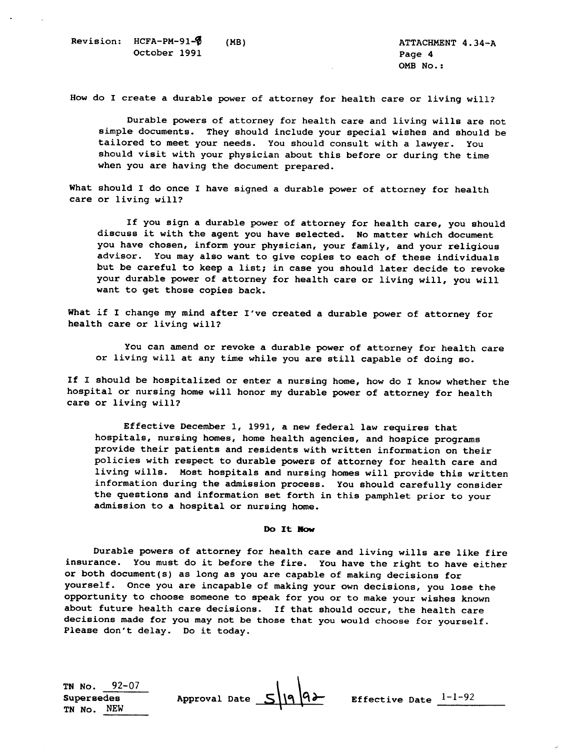How do I create a durable power of attorney for health care or living will?

Durable powers of attorney for health care and living wills are not **simple documents. They should include your special wishes and should be tailored to meet your needs. You should consult with a lawyer. You**  should visit with your physician about this before or during the time **when you are having the document prepared.** 

What should I do once I have signed a durable power of attorney for health **care or living will?** 

If you sign a durable power of attorney for health care, you should **discuss it with the agent you have selected. No matter which document you have chosen, inform your physician, your family,and your religious advisor. You may also want to give copiesto each of these individuals**  but be careful to keep a list; in case you should later decide to revoke your durable power of attorney for health care or living will, you will want to get those copies back.

What if I change my mind after I've created a durable power of attorney for health care or living will?

You can amend or revoke a durable power of attorney for health care **or living will at anytime whileyou are still capable of doingso.** 

**If I should be hospitalized or enter anursing home, how do I know whether the**  hospital or nursing home will honor my durable power of attorney for health care or living will?

**Effective December 1, 1991, a new federal law requires that**  hospitals, nursing homes, home health agencies, and hospice programs provide their patients and residents with written information on their policies with respect to durable powers of attorney for health care and living wills. Most hospitals and nursing homes will provide this written **information during the admission process. You should carefully consider**  the questions and information set forth in this pamphlet prior to your **admission to a hospital or nursing home.** 

## Do It Now

Durable powers of attorney for health care and living wills are like fire **insurance. You must do it before the fire. You have the right to have either**  or both document(s) as long as you are capable of making decisions for **yourself. Once you are incapable of making your own decisions, you lose the opportunity to choose someoneto speak for you or to make your wishes known about future health care decisions. If that should occur, the health care**  decisions made for you may not be those that you would choose for yourself. **Please don't delay. Do it today.**  about future health care decisions. If that should occur, the hedecisions made for you may not be those that you would choose for<br>Please don't delay. Do it today.<br>The No. 22-07<br>Supersedes Approval Date 5 9 6 Effective Date

**TN NO. 92-07 TN No. NEW** 

 $1 - 1 - 92$